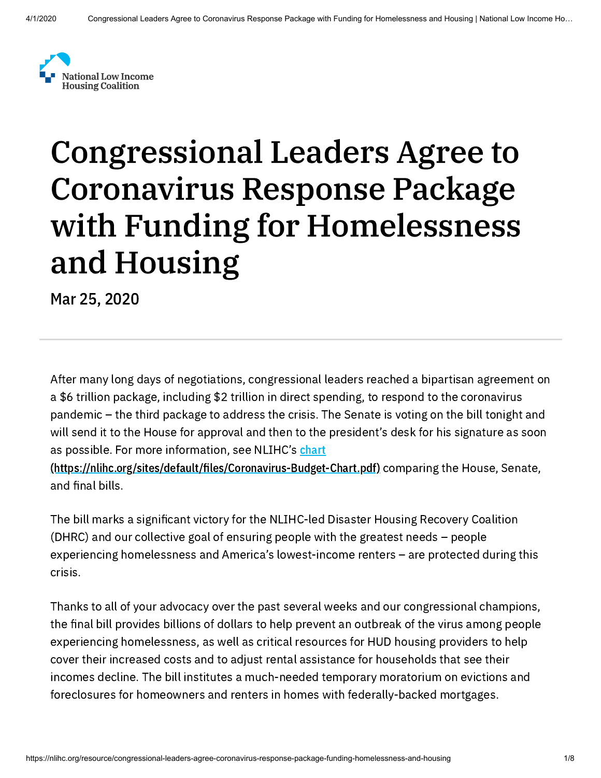

# Congressional Leaders Agree to Coronavirus Response Package with Funding for Homelessness and Housing

Mar 25, 2020

After many long days of negotiations, congressional leaders reached a bipartisan agreement on a \$6 trillion package, including \$2 trillion in direct spending, to respond to the coronavirus pandemic – the third package to address the crisis. The Senate is voting on the bill tonight and will send it to the House for approval and then to the president's desk for his signature as soon as possible. For more information, see NLIHC's chart

(https://nlihc.org/sites/default/files/Coronavirus-Budget-Chart.pdf) comparing the House, Senate, and final bills.

The bill marks a significant victory for the NLIHC-led Disaster Housing Recovery Coalition (DHRC) and our collective goal of ensuring people with the greatest needs – people experiencing homelessness and America's lowest-income renters – are protected during this crisis.

Thanks to all of your advocacy over the past several weeks and our congressional champions, the final bill provides billions of dollars to help prevent an outbreak of the virus among people experiencing homelessness, as well as critical resources for HUD housing providers to help cover their increased costs and to adjust rental assistance for households that see their incomes decline. The bill institutes a much-needed temporary moratorium on evictions and foreclosures for homeowners and renters in homes with federally-backed mortgages.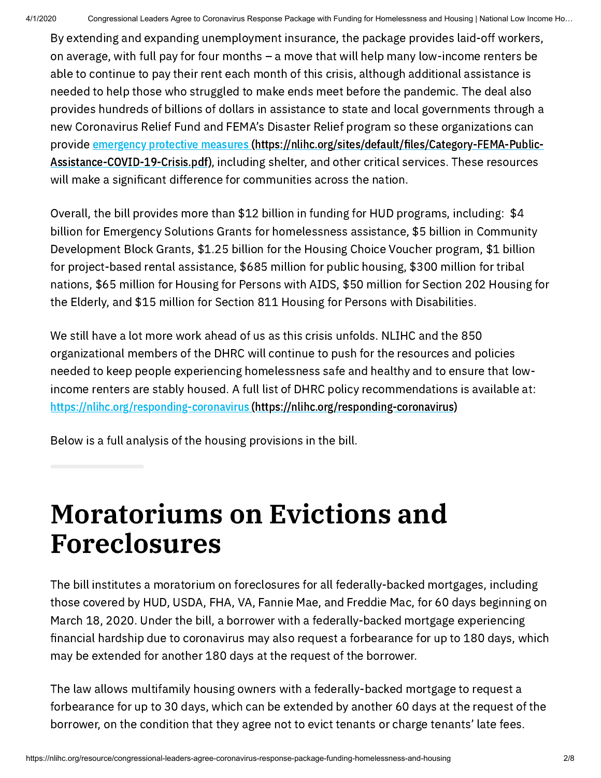By extending and expanding unemployment insurance, the package provides laid-off workers, on average, with full pay for four months – a move that will help many low-income renters be able to continue to pay their rent each month of this crisis, although additional assistance is needed to help those who struggled to make ends meet before the pandemic. The deal also provides hundreds of billions of dollars in assistance to state and local governments through a new Coronavirus Relief Fund and FEMA's Disaster Relief program so these organizations can provide emergency protective measures (https://nlihc.org/sites/default/files/Category-FEMA-Public-Assistance-COVID-19-Crisis.pdf), including shelter, and other critical services. These resources will make a significant difference for communities across the nation.

Overall, the bill provides more than \$12 billion in funding for HUD programs, including: \$4 billion for Emergency Solutions Grants for homelessness assistance, \$5 billion in Community Development Block Grants, \$1.25 billion for the Housing Choice Voucher program, \$1 billion for project-based rental assistance, \$685 million for public housing, \$300 million for tribal nations, \$65 million for Housing for Persons with AIDS, \$50 million for Section 202 Housing for the Elderly, and \$15 million for Section 811 Housing for Persons with Disabilities.

We still have a lot more work ahead of us as this crisis unfolds. NLIHC and the 850 organizational members of the DHRC will continue to push for the resources and policies needed to keep people experiencing homelessness safe and healthy and to ensure that lowincome renters are stably housed. A full list of DHRC policy recommendations is available at: https://nlihc.org/responding-coronavirus [\(https://nlihc.org/responding-coronavirus\)](https://nlihc.org/responding-coronavirus)

Below is a full analysis of the housing provisions in the bill.

#### Moratoriums on Evictions and Foreclosures

The bill institutes a moratorium on foreclosures for all federally-backed mortgages, including those covered by HUD, USDA, FHA, VA, Fannie Mae, and Freddie Mac, for 60 days beginning on March 18, 2020. Under the bill, a borrower with a federally-backed mortgage experiencing nancial hardship due to coronavirus may also request a forbearance for up to 180 days, which may be extended for another 180 days at the request of the borrower.

The law allows multifamily housing owners with a federally-backed mortgage to request a forbearance for up to 30 days, which can be extended by another 60 days at the request of the borrower, on the condition that they agree not to evict tenants or charge tenants' late fees.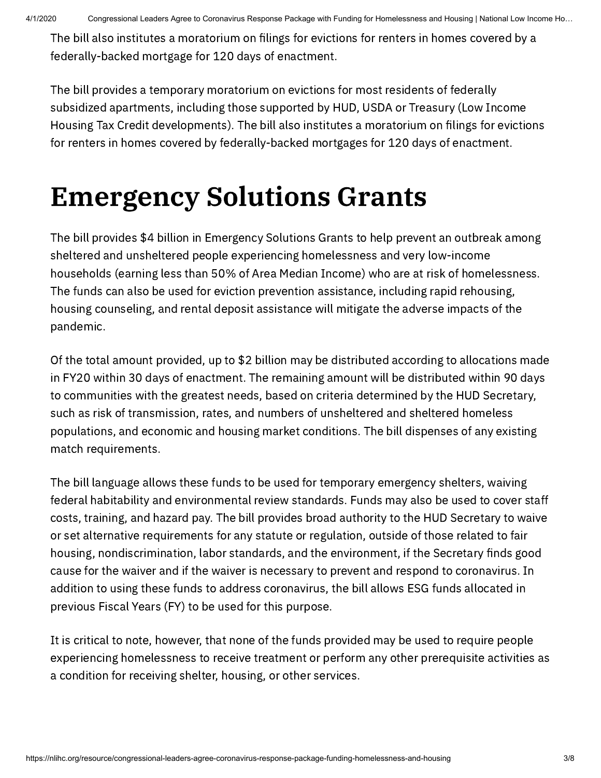The bill also institutes a moratorium on filings for evictions for renters in homes covered by a federally-backed mortgage for 120 days of enactment.

The bill provides a temporary moratorium on evictions for most residents of federally subsidized apartments, including those supported by HUD, USDA or Treasury (Low Income Housing Tax Credit developments). The bill also institutes a moratorium on filings for evictions for renters in homes covered by federally-backed mortgages for 120 days of enactment.

### Emergency Solutions Grants

The bill provides \$4 billion in Emergency Solutions Grants to help prevent an outbreak among sheltered and unsheltered people experiencing homelessness and very low-income households (earning less than 50% of Area Median Income) who are at risk of homelessness. The funds can also be used for eviction prevention assistance, including rapid rehousing, housing counseling, and rental deposit assistance will mitigate the adverse impacts of the pandemic.

Of the total amount provided, up to \$2 billion may be distributed according to allocations made in FY20 within 30 days of enactment. The remaining amount will be distributed within 90 days to communities with the greatest needs, based on criteria determined by the HUD Secretary, such as risk of transmission, rates, and numbers of unsheltered and sheltered homeless populations, and economic and housing market conditions. The bill dispenses of any existing match requirements.

The bill language allows these funds to be used for temporary emergency shelters, waiving federal habitability and environmental review standards. Funds may also be used to cover staff costs, training, and hazard pay. The bill provides broad authority to the HUD Secretary to waive or set alternative requirements for any statute or regulation, outside of those related to fair housing, nondiscrimination, labor standards, and the environment, if the Secretary finds good cause for the waiver and if the waiver is necessary to prevent and respond to coronavirus. In addition to using these funds to address coronavirus, the bill allows ESG funds allocated in previous Fiscal Years (FY) to be used for this purpose.

It is critical to note, however, that none of the funds provided may be used to require people experiencing homelessness to receive treatment or perform any other prerequisite activities as a condition for receiving shelter, housing, or other services.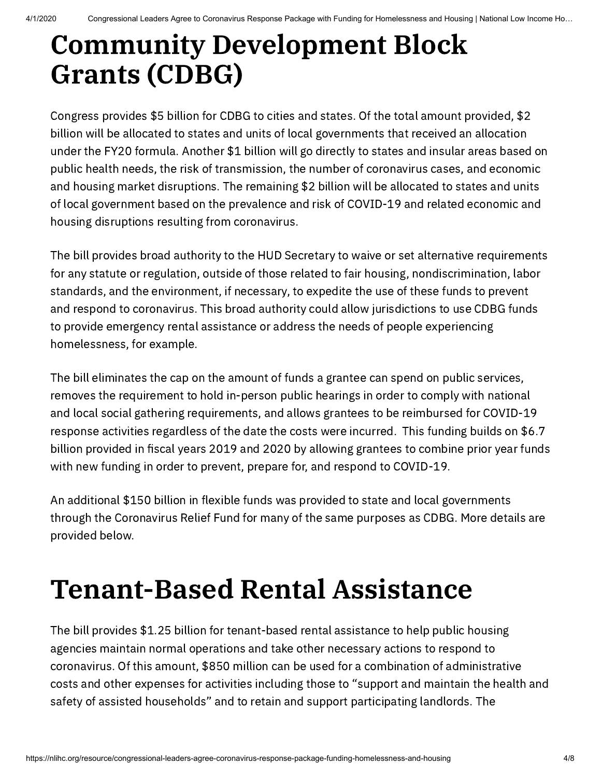#### Community Development Block Grants (CDBG)

Congress provides \$5 billion for CDBG to cities and states. Of the total amount provided, \$2 billion will be allocated to states and units of local governments that received an allocation under the FY20 formula. Another \$1 billion will go directly to states and insular areas based on public health needs, the risk of transmission, the number of coronavirus cases, and economic and housing market disruptions. The remaining \$2 billion will be allocated to states and units of local government based on the prevalence and risk of COVID-19 and related economic and housing disruptions resulting from coronavirus.

The bill provides broad authority to the HUD Secretary to waive or set alternative requirements for any statute or regulation, outside of those related to fair housing, nondiscrimination, labor standards, and the environment, if necessary, to expedite the use of these funds to prevent and respond to coronavirus. This broad authority could allow jurisdictions to use CDBG funds to provide emergency rental assistance or address the needs of people experiencing homelessness, for example.

The bill eliminates the cap on the amount of funds a grantee can spend on public services, removes the requirement to hold in-person public hearings in order to comply with national and local social gathering requirements, and allows grantees to be reimbursed for COVID-19 response activities regardless of the date the costs were incurred. This funding builds on \$6.7 billion provided in fiscal years 2019 and 2020 by allowing grantees to combine prior year funds with new funding in order to prevent, prepare for, and respond to COVID-19.

An additional \$150 billion in flexible funds was provided to state and local governments through the Coronavirus Relief Fund for many of the same purposes as CDBG. More details are provided below.

#### Tenant-Based Rental Assistance

The bill provides \$1.25 billion for tenant-based rental assistance to help public housing agencies maintain normal operations and take other necessary actions to respond to coronavirus. Of this amount, \$850 million can be used for a combination of administrative costs and other expenses for activities including those to "support and maintain the health and safety of assisted households" and to retain and support participating landlords. The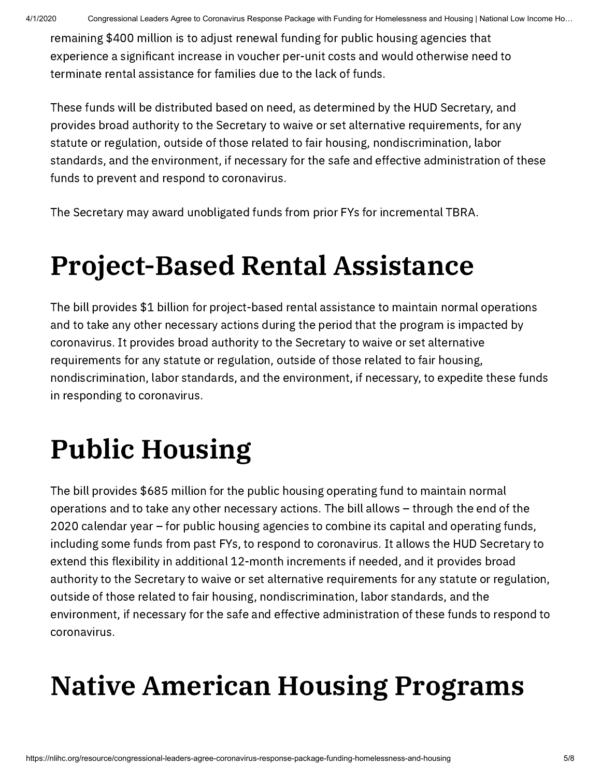4/1/2020 Congressional Leaders Agree to Coronavirus Response Package with Funding for Homelessness and Housing | National Low Income Ho…

remaining \$400 million is to adjust renewal funding for public housing agencies that experience a significant increase in voucher per-unit costs and would otherwise need to terminate rental assistance for families due to the lack of funds.

These funds will be distributed based on need, as determined by the HUD Secretary, and provides broad authority to the Secretary to waive or set alternative requirements, for any statute or regulation, outside of those related to fair housing, nondiscrimination, labor standards, and the environment, if necessary for the safe and effective administration of these funds to prevent and respond to coronavirus.

The Secretary may award unobligated funds from prior FYs for incremental TBRA.

### Project-Based Rental Assistance

The bill provides \$1 billion for project-based rental assistance to maintain normal operations and to take any other necessary actions during the period that the program is impacted by coronavirus. It provides broad authority to the Secretary to waive or set alternative requirements for any statute or regulation, outside of those related to fair housing, nondiscrimination, labor standards, and the environment, if necessary, to expedite these funds in responding to coronavirus.

# Public Housing

The bill provides \$685 million for the public housing operating fund to maintain normal operations and to take any other necessary actions. The bill allows – through the end of the 2020 calendar year – for public housing agencies to combine its capital and operating funds, including some funds from past FYs, to respond to coronavirus. It allows the HUD Secretary to extend this flexibility in additional 12-month increments if needed, and it provides broad authority to the Secretary to waive or set alternative requirements for any statute or regulation, outside of those related to fair housing, nondiscrimination, labor standards, and the environment, if necessary for the safe and effective administration of these funds to respond to coronavirus.

# Native American Housing Programs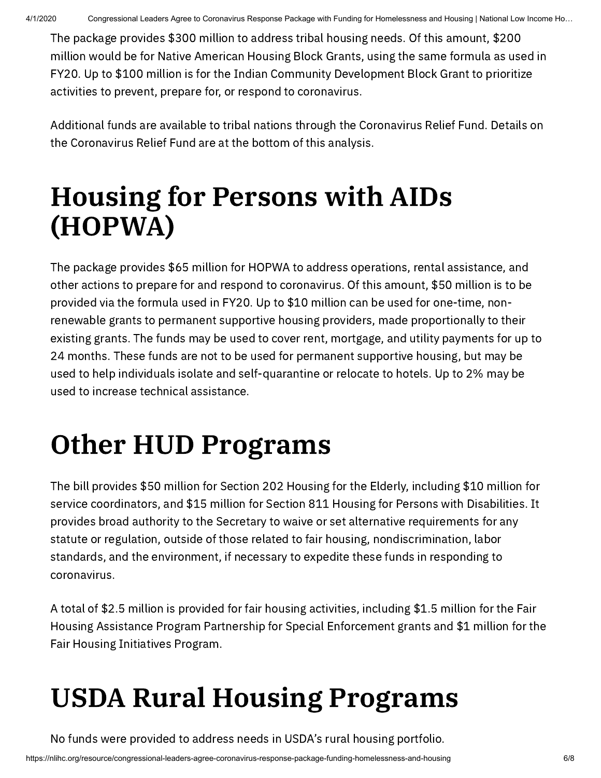The package provides \$300 million to address tribal housing needs. Of this amount, \$200 million would be for Native American Housing Block Grants, using the same formula as used in FY20. Up to \$100 million is for the Indian Community Development Block Grant to prioritize activities to prevent, prepare for, or respond to coronavirus.

Additional funds are available to tribal nations through the Coronavirus Relief Fund. Details on the Coronavirus Relief Fund are at the bottom of this analysis.

#### Housing for Persons with AIDs (HOPWA)

The package provides \$65 million for HOPWA to address operations, rental assistance, and other actions to prepare for and respond to coronavirus. Of this amount, \$50 million is to be provided via the formula used in FY20. Up to \$10 million can be used for one-time, nonrenewable grants to permanent supportive housing providers, made proportionally to their existing grants. The funds may be used to cover rent, mortgage, and utility payments for up to 24 months. These funds are not to be used for permanent supportive housing, but may be used to help individuals isolate and self-quarantine or relocate to hotels. Up to 2% may be used to increase technical assistance.

## Other HUD Programs

The bill provides \$50 million for Section 202 Housing for the Elderly, including \$10 million for service coordinators, and \$15 million for Section 811 Housing for Persons with Disabilities. It provides broad authority to the Secretary to waive or set alternative requirements for any statute or regulation, outside of those related to fair housing, nondiscrimination, labor standards, and the environment, if necessary to expedite these funds in responding to coronavirus.

A total of \$2.5 million is provided for fair housing activities, including \$1.5 million for the Fair Housing Assistance Program Partnership for Special Enforcement grants and \$1 million for the Fair Housing Initiatives Program.

# USDA Rural Housing Programs

No funds were provided to address needs in USDA's rural housing portfolio.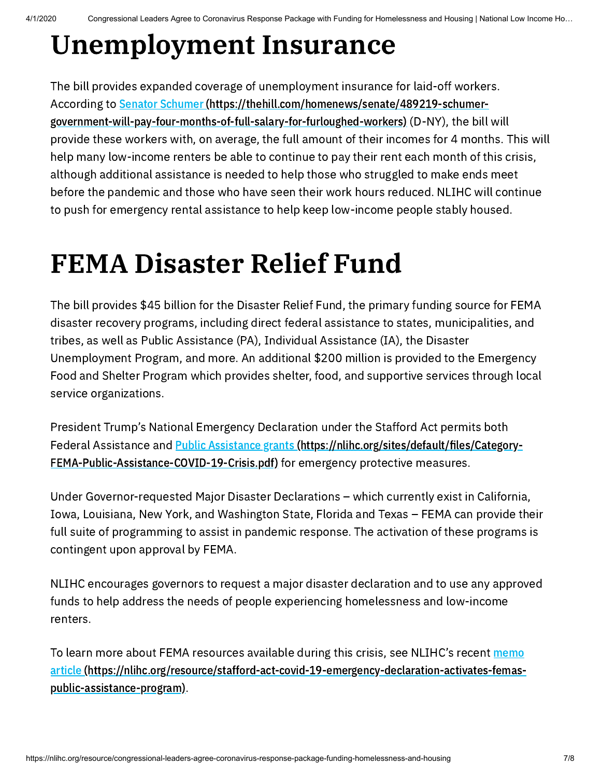### Unemployment Insurance

The bill provides expanded coverage of unemployment insurance for laid-off workers. According to **Senator Schumer (https://thehill.com/homenews/senate/489219-schumer**[government-will-pay-four-months-of-full-salary-for-furloughed-workers\)](https://thehill.com/homenews/senate/489219-schumer-government-will-pay-four-months-of-full-salary-for-furloughed-workers) (D-NY), the bill will provide these workers with, on average, the full amount of their incomes for 4 months. This will help many low-income renters be able to continue to pay their rent each month of this crisis, although additional assistance is needed to help those who struggled to make ends meet before the pandemic and those who have seen their work hours reduced. NLIHC will continue to push for emergency rental assistance to help keep low-income people stably housed.

#### FEMA Disaster Relief Fund

The bill provides \$45 billion for the Disaster Relief Fund, the primary funding source for FEMA disaster recovery programs, including direct federal assistance to states, municipalities, and tribes, as well as Public Assistance (PA), Individual Assistance (IA), the Disaster Unemployment Program, and more. An additional \$200 million is provided to the Emergency Food and Shelter Program which provides shelter, food, and supportive services through local service organizations.

President Trump's National Emergency Declaration under the Stafford Act permits both Federal Assistance and Public Assistance grants (https://nlihc.org/sites/default/files/Category-[FEMA-Public-Assistance-COVID-19-Crisis.pdf\)](https://nlihc.org/sites/default/files/Category-FEMA-Public-Assistance-COVID-19-Crisis.pdf) for emergency protective measures.

Under Governor-requested Major Disaster Declarations – which currently exist in California, Iowa, Louisiana, New York, and Washington State, Florida and Texas – FEMA can provide their full suite of programming to assist in pandemic response. The activation of these programs is contingent upon approval by FEMA.

NLIHC encourages governors to request a major disaster declaration and to use any approved funds to help address the needs of people experiencing homelessness and low-income renters.

To learn more about FEMA resources available during this crisis, see NLIHC's recent memo article [\(https://nlihc.org/resource/stafford-act-covid-19-emergency-declaration-activates-femas](https://nlihc.org/resource/stafford-act-covid-19-emergency-declaration-activates-femas-public-assistance-program)public-assistance-program).